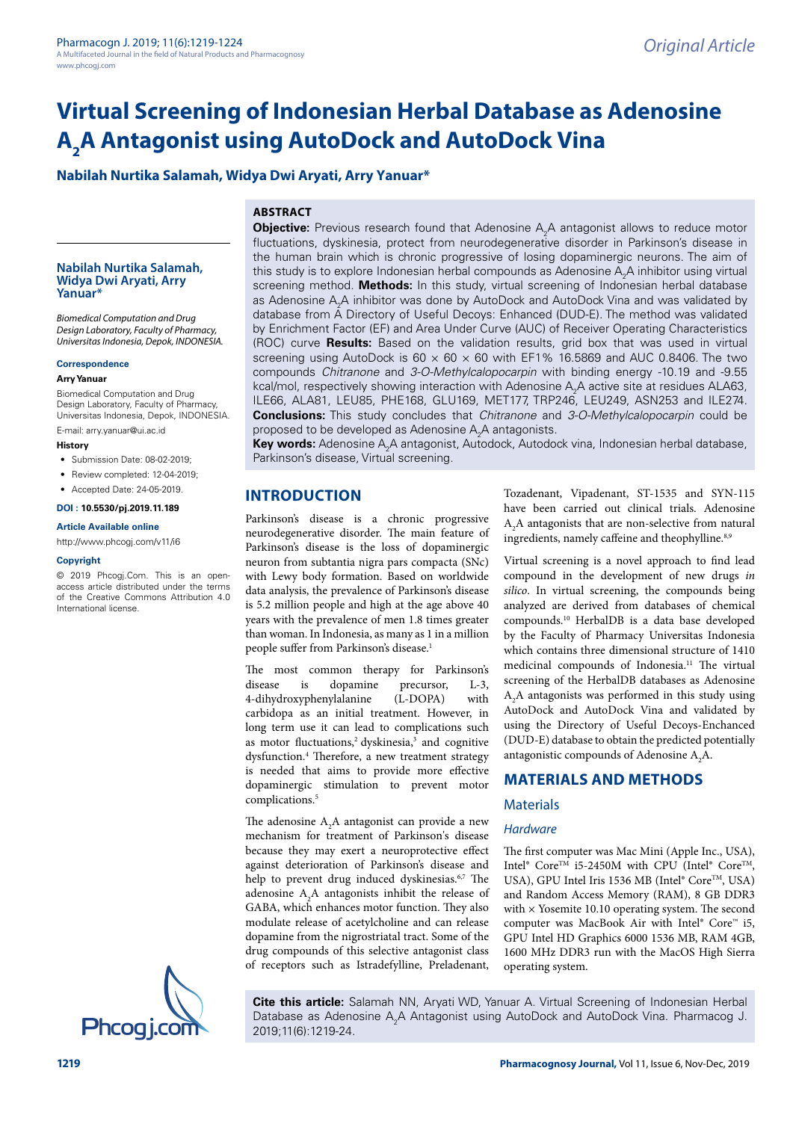# **Virtual Screening of Indonesian Herbal Database as Adenosine A2 A Antagonist using AutoDock and AutoDock Vina**

# **Nabilah Nurtika Salamah, Widya Dwi Aryati, Arry Yanuar\***

# **ABSTRACT**

#### **Nabilah Nurtika Salamah, Widya Dwi Aryati, Arry Yanuar\***

*Biomedical Computation and Drug Design Laboratory, Faculty of Pharmacy, Universitas Indonesia, Depok, INDONESIA.*

#### **Correspondence**

## **Arry Yanuar**

Biomedical Computation and Drug Design Laboratory, Faculty of Pharmacy, Universitas Indonesia, Depok, INDONESIA.

E-mail: arry.yanuar@ui.ac.id

# **History**

- Submission Date: 08-02-2019;
- Review completed: 12-04-2019:
- Accepted Date: 24-05-2019.

#### **DOI : 10.5530/pj.2019.11.189**

#### **Article Available online**

<http://www.phcogj.com/v11/i6>

#### **Copyright**

© 2019 Phcogj.Com. This is an openaccess article distributed under the terms of the Creative Commons Attribution 4.0 International license.



**Objective:** Previous research found that Adenosine A<sub>2</sub>A antagonist allows to reduce motor fluctuations, dyskinesia, protect from neurodegenerative disorder in Parkinson's disease in the human brain which is chronic progressive of losing dopaminergic neurons. The aim of this study is to explore Indonesian herbal compounds as Adenosine  $\mathsf{A}_2\mathsf{A}$  inhibitor using virtual screening method. **Methods:** In this study, virtual screening of Indonesian herbal database as Adenosine  $\mathsf{A}_2\mathsf{A}$  inhibitor was done by AutoDock and AutoDock Vina and was validated by database from A Directory of Useful Decoys: Enhanced (DUD-E). The method was validated by Enrichment Factor (EF) and Area Under Curve (AUC) of Receiver Operating Characteristics (ROC) curve **Results:** Based on the validation results, grid box that was used in virtual screening using AutoDock is  $60 \times 60 \times 60$  with EF1% 16.5869 and AUC 0.8406. The two compounds *Chitranone* and *3-O-Methylcalopocarpin* with binding energy -10.19 and -9.55 kcal/mol, respectively showing interaction with Adenosine  $\mathsf{A}_2\mathsf{A}$  active site at residues ALA63, ILE66, ALA81, LEU85, PHE168, GLU169, MET177, TRP246, LEU249, ASN253 and ILE274. **Conclusions:** This study concludes that *Chitranone* and *3-O-Methylcalopocarpin* could be proposed to be developed as Adenosine  $\mathsf{A}_2\mathsf{A}$  antagonists.

**Key words:** Adenosine A<sub>2</sub>A antagonist, Autodock, Autodock vina, Indonesian herbal database, Parkinson's disease, Virtual screening.

# **INTRODUCTION**

Parkinson's disease is a chronic progressive neurodegenerative disorder. The main feature of Parkinson's disease is the loss of dopaminergic neuron from subtantia nigra pars compacta (SNc) with Lewy body formation. Based on worldwide data analysis, the prevalence of Parkinson's disease is 5.2 million people and high at the age above 40 years with the prevalence of men 1.8 times greater than woman. In Indonesia, as many as 1 in a million people suffer from Parkinson's disease.<sup>1</sup>

The most common therapy for Parkinson's disease is dopamine precursor, L-3, 4-dihydroxyphenylalanine (L-DOPA) with carbidopa as an initial treatment. However, in long term use it can lead to complications such as motor fluctuations,<sup>2</sup> dyskinesia,<sup>3</sup> and cognitive dysfunction.4 Therefore, a new treatment strategy is needed that aims to provide more effective dopaminergic stimulation to prevent motor complications.<sup>5</sup>

The adenosine  $A_2A$  antagonist can provide a new mechanism for treatment of Parkinson's disease because they may exert a neuroprotective effect against deterioration of Parkinson's disease and help to prevent drug induced dyskinesias.<sup>6,7</sup> The adenosine  $A_2A$  antagonists inhibit the release of GABA, which enhances motor function. They also modulate release of acetylcholine and can release dopamine from the nigrostriatal tract. Some of the drug compounds of this selective antagonist class of receptors such as Istradefylline, Preladenant, Tozadenant, Vipadenant, ST-1535 and SYN-115 have been carried out clinical trials. Adenosine  $A_2A$  antagonists that are non-selective from natural ingredients, namely caffeine and theophylline.<sup>8,9</sup>

Virtual screening is a novel approach to find lead compound in the development of new drugs *in silico*. In virtual screening, the compounds being analyzed are derived from databases of chemical compounds.10 HerbalDB is a data base developed by the Faculty of Pharmacy Universitas Indonesia which contains three dimensional structure of 1410 medicinal compounds of Indonesia.<sup>11</sup> The virtual screening of the HerbalDB databases as Adenosine  $A_2A$  antagonists was performed in this study using AutoDock and AutoDock Vina and validated by using the Directory of Useful Decoys-Enchanced (DUD-E) database to obtain the predicted potentially antagonistic compounds of Adenosine  $A_2A$ .

# **MATERIALS AND METHODS**

## **Materials**

## *Hardware*

The first computer was Mac Mini (Apple Inc., USA), Intel® Core<sup>TM</sup> i5-2450M with CPU (Intel® Core<sup>TM</sup>, USA), GPU Intel Iris 1536 MB (Intel® Core™, USA) and Random Access Memory (RAM), 8 GB DDR3 with  $\times$  Yosemite 10.10 operating system. The second computer was MacBook Air with Intel® Core™ i5, GPU Intel HD Graphics 6000 1536 MB, RAM 4GB, 1600 MHz DDR3 run with the MacOS High Sierra operating system.

**Cite this article:** Salamah NN, Aryati WD, Yanuar A. Virtual Screening of Indonesian Herbal Database as Adenosine A<sub>2</sub>A Antagonist using AutoDock and AutoDock Vina. Pharmacog J.<br>**Phcogj.com** 2019;11(6):1219-24.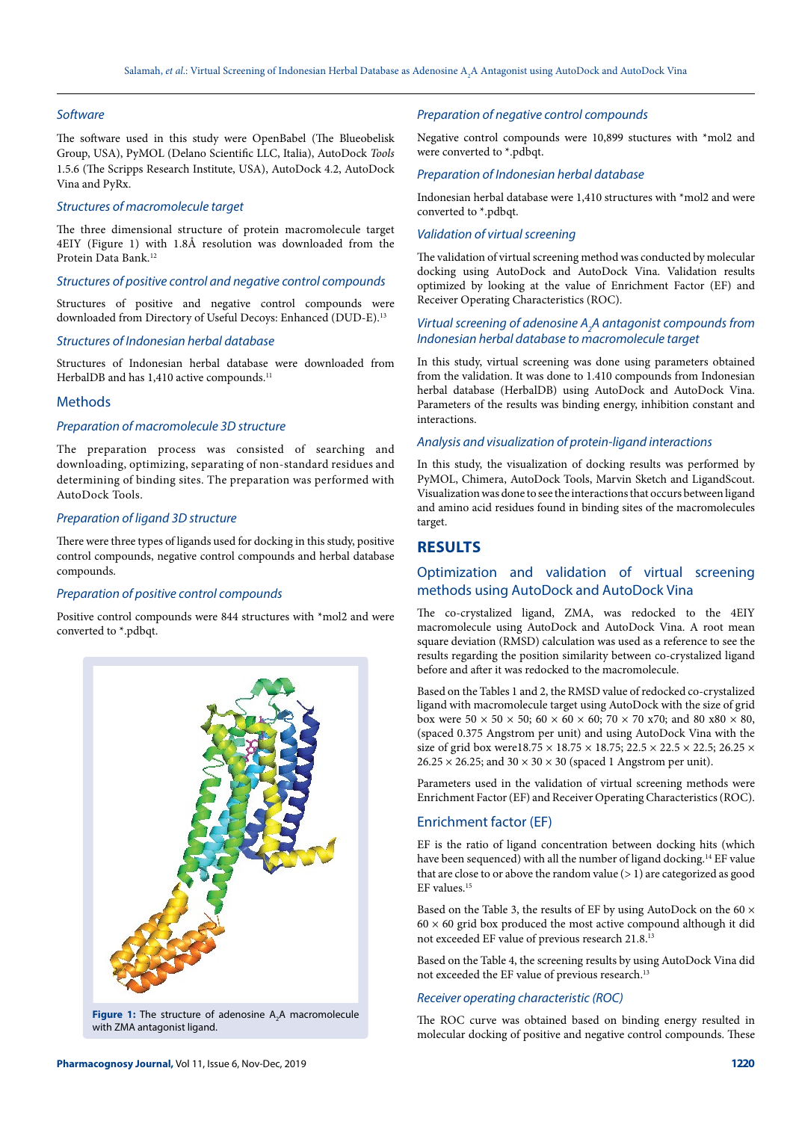## *Software*

The software used in this study were OpenBabel (The Blueobelisk Group, USA), PyMOL (Delano Scientific LLC, Italia), AutoDock *Tools* 1.5.6 (The Scripps Research Institute, USA), AutoDock 4.2, AutoDock Vina and PyRx.

#### *Structures of macromolecule target*

The three dimensional structure of protein macromolecule target 4EIY (Figure 1) with 1.8Å resolution was downloaded from the Protein Data Bank.<sup>12</sup>

#### *Structures of positive control and negative control compounds*

Structures of positive and negative control compounds were downloaded from Directory of Useful Decoys: Enhanced (DUD-E). 13

## *Structures of Indonesian herbal database*

Structures of Indonesian herbal database were downloaded from HerbalDB and has 1,410 active compounds.<sup>11</sup>

## Methods

#### *Preparation of macromolecule 3D structure*

The preparation process was consisted of searching and downloading, optimizing, separating of non-standard residues and determining of binding sites. The preparation was performed with AutoDock Tools.

# *Preparation of ligand 3D structure*

There were three types of ligands used for docking in this study, positive control compounds, negative control compounds and herbal database compounds.

## *Preparation of positive control compounds*

Positive control compounds were 844 structures with \*mol2 and were converted to \*.pdbqt.



**Figure 1:** The structure of adenosine A<sub>2</sub>A macromolecule with ZMA antagonist ligand.

### *Preparation of negative control compounds*

Negative control compounds were 10,899 stuctures with \*mol2 and were converted to \*.pdbqt.

#### *Preparation of Indonesian herbal database*

Indonesian herbal database were 1,410 structures with \*mol2 and were converted to \*.pdbqt.

#### *Validation of virtual screening*

The validation of virtual screening method was conducted by molecular docking using AutoDock and AutoDock Vina. Validation results optimized by looking at the value of Enrichment Factor (EF) and Receiver Operating Characteristics (ROC).

## *Virtual screening of adenosine A2 A antagonist compounds from Indonesian herbal database to macromolecule target*

In this study, virtual screening was done using parameters obtained from the validation. It was done to 1.410 compounds from Indonesian herbal database (HerbalDB) using AutoDock and AutoDock Vina. Parameters of the results was binding energy, inhibition constant and interactions.

## *Analysis and visualization of protein-ligand interactions*

In this study, the visualization of docking results was performed by PyMOL, Chimera, AutoDock Tools, Marvin Sketch and LigandScout. Visualization was done to see the interactions that occurs between ligand and amino acid residues found in binding sites of the macromolecules target.

# **RESULTS**

# Optimization and validation of virtual screening methods using AutoDock and AutoDock Vina

The co-crystalized ligand, ZMA, was redocked to the 4EIY macromolecule using AutoDock and AutoDock Vina. A root mean square deviation (RMSD) calculation was used as a reference to see the results regarding the position similarity between co-crystalized ligand before and after it was redocked to the macromolecule.

Based on the Tables 1 and 2, the RMSD value of redocked co-crystalized ligand with macromolecule target using AutoDock with the size of grid box were  $50 \times 50 \times 50$ ;  $60 \times 60 \times 60$ ;  $70 \times 70$  x70; and  $80$  x80  $\times$  80, (spaced 0.375 Angstrom per unit) and using AutoDock Vina with the size of grid box were<br>18.75  $\times$  18.75  $\times$  18.75; 22.5<br>  $\times$  22.5  $\times$  22.5; 26.25  $\times$  $26.25 \times 26.25$ ; and  $30 \times 30 \times 30$  (spaced 1 Angstrom per unit).

Parameters used in the validation of virtual screening methods were Enrichment Factor (EF) and Receiver Operating Characteristics (ROC).

## Enrichment factor (EF)

EF is the ratio of ligand concentration between docking hits (which have been sequenced) with all the number of ligand docking.<sup>14</sup> EF value that are close to or above the random value  $(> 1)$  are categorized as good EF values.15

Based on the Table 3, the results of EF by using AutoDock on the 60 ×  $60 \times 60$  grid box produced the most active compound although it did not exceeded EF value of previous research 21.8.13

Based on the Table 4, the screening results by using AutoDock Vina did not exceeded the EF value of previous research.<sup>13</sup>

## *Receiver operating characteristic (ROC)*

The ROC curve was obtained based on binding energy resulted in molecular docking of positive and negative control compounds. These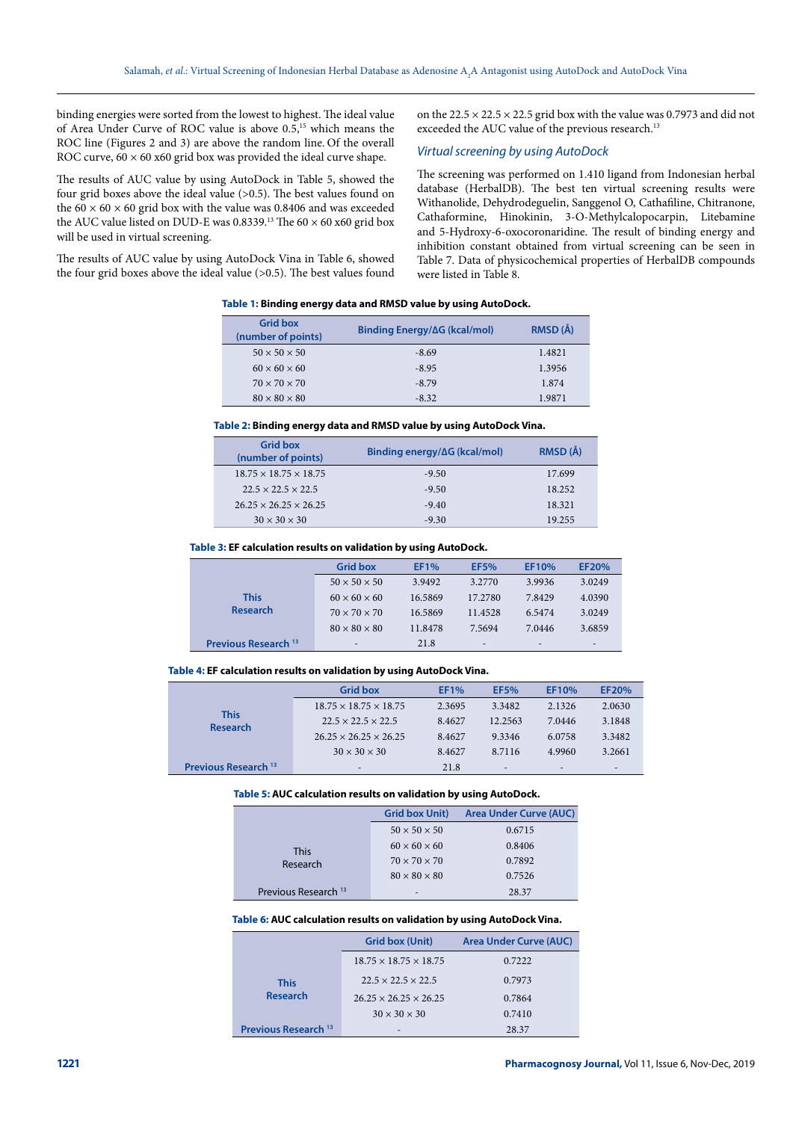binding energies were sorted from the lowest to highest. The ideal value of Area Under Curve of ROC value is above 0.5,15 which means the ROC line (Figures 2 and 3) are above the random line. Of the overall ROC curve,  $60 \times 60$  x60 grid box was provided the ideal curve shape.

The results of AUC value by using AutoDock in Table 5, showed the four grid boxes above the ideal value (>0.5). The best values found on the  $60 \times 60 \times 60$  grid box with the value was 0.8406 and was exceeded the AUC value listed on DUD-E was 0.8339.<sup>13</sup> The  $60 \times 60$  x60 grid box will be used in virtual screening.

The results of AUC value by using AutoDock Vina in Table 6, showed the four grid boxes above the ideal value (>0.5). The best values found on the  $22.5 \times 22.5 \times 22.5$  grid box with the value was 0.7973 and did not exceeded the AUC value of the previous research.<sup>13</sup>

## *Virtual screening by using AutoDock*

The screening was performed on 1.410 ligand from Indonesian herbal database (HerbalDB). The best ten virtual screening results were Withanolide, Dehydrodeguelin, Sanggenol O, Cathafiline, Chitranone, Cathaformine, Hinokinin, 3-O-Methylcalopocarpin, Litebamine and 5-Hydroxy-6-oxocoronaridine. The result of binding energy and inhibition constant obtained from virtual screening can be seen in Table 7. Data of physicochemical properties of HerbalDB compounds were listed in Table 8.

**Table 1: Binding energy data and RMSD value by using AutoDock.** 

| <b>Grid box</b><br>(number of points) | Binding Energy/∆G (kcal/mol) | RMSD (Å) |
|---------------------------------------|------------------------------|----------|
| $50 \times 50 \times 50$              | $-8.69$                      | 1.4821   |
| $60 \times 60 \times 60$              | $-8.95$                      | 1.3956   |
| $70 \times 70 \times 70$              | $-8.79$                      | 1.874    |
| $80 \times 80 \times 80$              | $-8.32$                      | 1.9871   |

#### **Table 2: Binding energy data and RMSD value by using AutoDock Vina.**

| <b>Grid box</b><br>(number of points) | Binding energy/∆G (kcal/mol) | RMSD (Å) |
|---------------------------------------|------------------------------|----------|
| $18.75 \times 18.75 \times 18.75$     | $-9.50$                      | 17.699   |
| $22.5 \times 22.5 \times 22.5$        | $-9.50$                      | 18.252   |
| $26.25 \times 26.25 \times 26.25$     | $-9.40$                      | 18.321   |
| $30 \times 30 \times 30$              | $-9.30$                      | 19.255   |

#### **Table 3: EF calculation results on validation by using AutoDock.**

|                                 | <b>Grid box</b>          | <b>EF1%</b> | <b>EF5%</b>                  | EF10%                        | EF20%                        |
|---------------------------------|--------------------------|-------------|------------------------------|------------------------------|------------------------------|
|                                 | $50 \times 50 \times 50$ | 3.9492      | 3.2770                       | 3.9936                       | 3.0249                       |
| <b>This</b>                     | $60 \times 60 \times 60$ | 16.5869     | 17.2780                      | 7.8429                       | 4.0390                       |
| <b>Research</b>                 | $70 \times 70 \times 70$ | 16.5869     | 11.4528                      | 6.5474                       | 3.0249                       |
|                                 | $80 \times 80 \times 80$ | 11.8478     | 7.5694                       | 7.0446                       | 3.6859                       |
| Previous Research <sup>13</sup> | $\overline{\phantom{a}}$ | 21.8        | $\qquad \qquad \blacksquare$ | $\qquad \qquad \blacksquare$ | $\qquad \qquad \blacksquare$ |

#### **Table 4: EF calculation results on validation by using AutoDock Vina.**

|                                 | <b>Grid box</b>                   | <b>EF1%</b> | <b>EF5%</b>              | EF10%           | EF20%                    |
|---------------------------------|-----------------------------------|-------------|--------------------------|-----------------|--------------------------|
|                                 | $18.75 \times 18.75 \times 18.75$ | 2.3695      | 3.3482                   | 2.1326          | 2.0630                   |
| <b>This</b><br><b>Research</b>  | $22.5 \times 22.5 \times 22.5$    | 8.4627      | 12.2563                  | 7.0446          | 3.1848                   |
|                                 | $26.25 \times 26.25 \times 26.25$ | 8.4627      | 9.3346                   | 6.0758          | 3.3482                   |
|                                 | $30 \times 30 \times 30$          | 8.4627      | 8.7116                   | 4.9960          | 3.2661                   |
| Previous Research <sup>13</sup> | -                                 | 21.8        | $\overline{\phantom{a}}$ | $\qquad \qquad$ | $\overline{\phantom{0}}$ |

#### **Table 5: AUC calculation results on validation by using AutoDock.**

|                                 | <b>Grid box Unit)</b>    | Area Under Curve (AUC) |
|---------------------------------|--------------------------|------------------------|
|                                 | $50 \times 50 \times 50$ | 0.6715                 |
| This                            | $60 \times 60 \times 60$ | 0.8406                 |
| Research                        | $70 \times 70 \times 70$ | 0.7892                 |
|                                 | $80 \times 80 \times 80$ | 0.7526                 |
| Previous Research <sup>13</sup> | $\overline{\phantom{a}}$ | 28.37                  |

#### **Table 6: AUC calculation results on validation by using AutoDock Vina.**

|                                 | <b>Grid box (Unit)</b>            | <b>Area Under Curve (AUC)</b> |
|---------------------------------|-----------------------------------|-------------------------------|
|                                 | $18.75 \times 18.75 \times 18.75$ | 0.7222                        |
| <b>This</b>                     | $22.5 \times 22.5 \times 22.5$    | 0.7973                        |
| <b>Research</b>                 | $26.25 \times 26.25 \times 26.25$ | 0.7864                        |
|                                 | $30 \times 30 \times 30$          | 0.7410                        |
| Previous Research <sup>13</sup> |                                   | 28.37                         |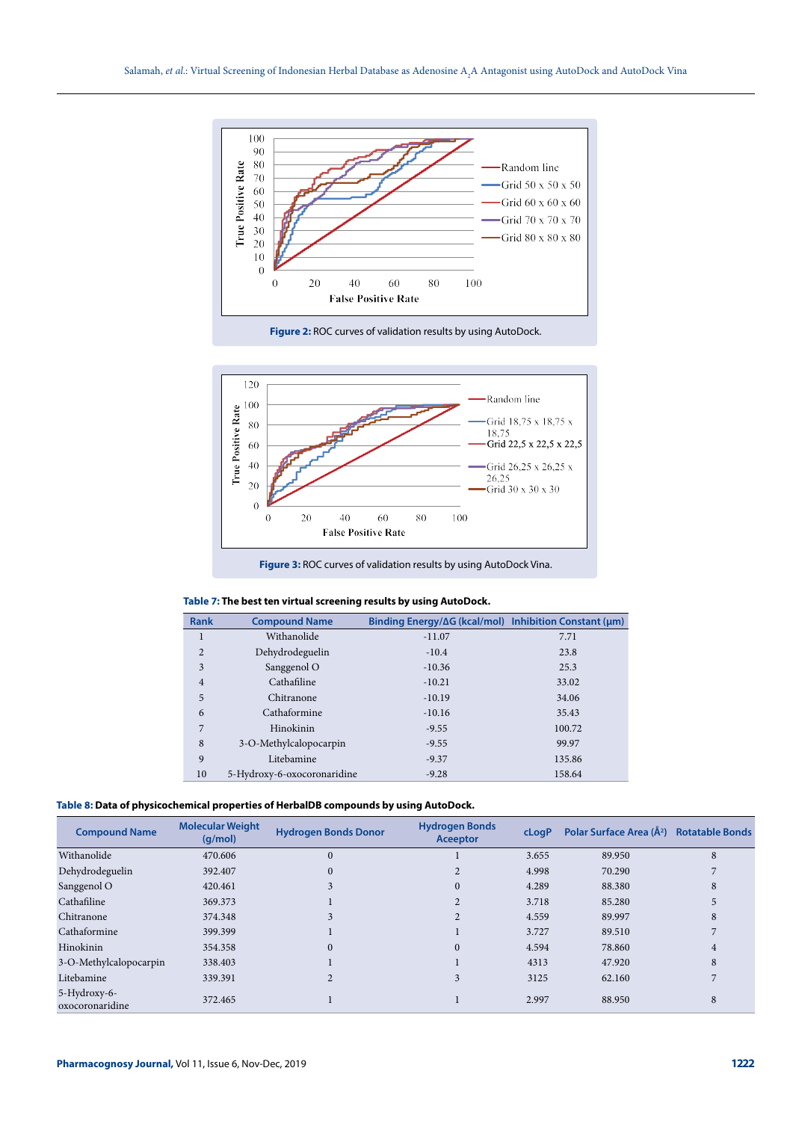

**Figure 2:** ROC curves of validation results by using AutoDock.



**Figure 3:** ROC curves of validation results by using AutoDock Vina.

| Table 7: The best ten virtual screening results by using AutoDock. |  |  |
|--------------------------------------------------------------------|--|--|
|--------------------------------------------------------------------|--|--|

| <b>Rank</b>    | <b>Compound Name</b>        | Binding Energy/∆G (kcal/mol) Inhibition Constant (µm) |        |
|----------------|-----------------------------|-------------------------------------------------------|--------|
| 1              | Withanolide                 | $-11.07$                                              | 7.71   |
| 2              | Dehydrodeguelin             | $-10.4$                                               | 23.8   |
| 3              | Sanggenol O                 | $-10.36$                                              | 25.3   |
| $\overline{4}$ | Cathafiline                 | $-10.21$                                              | 33.02  |
| 5              | Chitranone                  | $-10.19$                                              | 34.06  |
| 6              | Cathaformine                | $-10.16$                                              | 35.43  |
| 7              | Hinokinin                   | $-9.55$                                               | 100.72 |
| 8              | 3-O-Methylcalopocarpin      | $-9.55$                                               | 99.97  |
| 9              | Litebamine                  | $-9.37$                                               | 135.86 |
| 10             | 5-Hydroxy-6-oxocoronaridine | $-9.28$                                               | 158.64 |

| Table 8: Data of physicochemical properties of HerbalDB compounds by using AutoDock. |  |  |  |
|--------------------------------------------------------------------------------------|--|--|--|
|--------------------------------------------------------------------------------------|--|--|--|

| <b>Compound Name</b>            | <b>Molecular Weight</b><br>(q/mol) | <b>Hydrogen Bonds Donor</b> | <b>Hydrogen Bonds</b><br>Aceeptor | cLogP | Polar Surface Area (Å <sup>2</sup> ) Rotatable Bonds |   |
|---------------------------------|------------------------------------|-----------------------------|-----------------------------------|-------|------------------------------------------------------|---|
| Withanolide                     | 470.606                            | $\theta$                    |                                   | 3.655 | 89.950                                               | 8 |
| Dehydrodeguelin                 | 392.407                            | $\Omega$                    |                                   | 4.998 | 70.290                                               |   |
| Sanggenol O                     | 420.461                            |                             | $\Omega$                          | 4.289 | 88.380                                               | 8 |
| Cathafiline                     | 369.373                            |                             |                                   | 3.718 | 85.280                                               |   |
| Chitranone                      | 374.348                            |                             |                                   | 4.559 | 89.997                                               | 8 |
| Cathaformine                    | 399.399                            |                             |                                   | 3.727 | 89.510                                               |   |
| Hinokinin                       | 354.358                            | $\Omega$                    | $\Omega$                          | 4.594 | 78.860                                               | 4 |
| 3-O-Methylcalopocarpin          | 338.403                            |                             |                                   | 4313  | 47.920                                               | 8 |
| Litebamine                      | 339.391                            |                             | 3                                 | 3125  | 62.160                                               |   |
| 5-Hydroxy-6-<br>oxocoronaridine | 372.465                            |                             |                                   | 2.997 | 88.950                                               | 8 |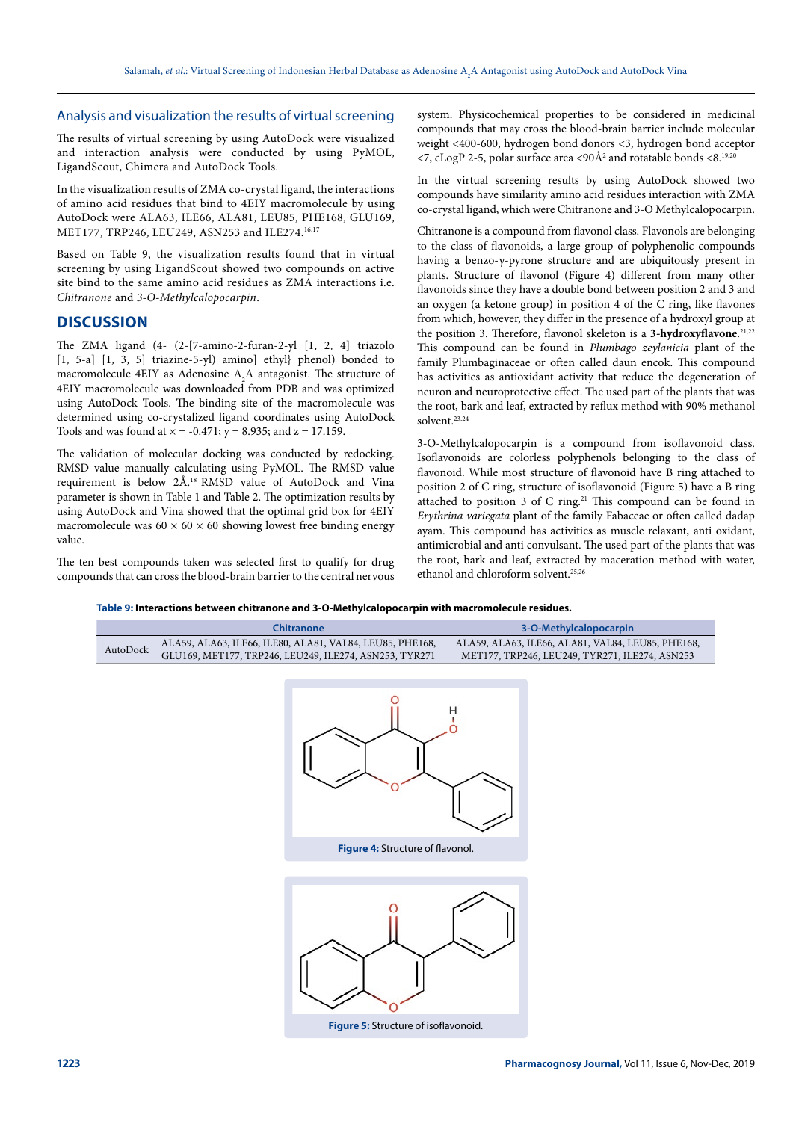## Analysis and visualization the results of virtual screening

The results of virtual screening by using AutoDock were visualized and interaction analysis were conducted by using PyMOL, LigandScout, Chimera and AutoDock Tools.

In the visualization results of ZMA co-crystal ligand, the interactions of amino acid residues that bind to 4EIY macromolecule by using AutoDock were ALA63, ILE66, ALA81, LEU85, PHE168, GLU169, MET177, TRP246, LEU249, ASN253 and ILE274.16,17

Based on Table 9, the visualization results found that in virtual screening by using LigandScout showed two compounds on active site bind to the same amino acid residues as ZMA interactions i.e. *Chitranone* and *3-O-Methylcalopocarpin*.

## **DISCUSSION**

The ZMA ligand (4- (2-[7-amino-2-furan-2-yl [1, 2, 4] triazolo [1, 5-a] [1, 3, 5] triazine-5-yl) amino] ethyl} phenol) bonded to macromolecule 4EIY as Adenosine  $A_2A$  antagonist. The structure of 4EIY macromolecule was downloaded from PDB and was optimized using AutoDock Tools. The binding site of the macromolecule was determined using co-crystalized ligand coordinates using AutoDock Tools and was found at  $x = -0.471$ ;  $y = 8.935$ ; and  $z = 17.159$ .

The validation of molecular docking was conducted by redocking. RMSD value manually calculating using PyMOL. The RMSD value requirement is below 2Å.18 RMSD value of AutoDock and Vina parameter is shown in Table 1 and Table 2. The optimization results by using AutoDock and Vina showed that the optimal grid box for 4EIY macromolecule was  $60 \times 60 \times 60$  showing lowest free binding energy value.

The ten best compounds taken was selected first to qualify for drug compounds that can cross the blood-brain barrier to the central nervous system. Physicochemical properties to be considered in medicinal compounds that may cross the blood-brain barrier include molecular weight <400-600, hydrogen bond donors <3, hydrogen bond acceptor  $\langle 7, \text{cLogP } 2\text{-}5, \text{ polar surface area } \langle 90\text{\AA}^2 \rangle$  and rotatable bonds  $\langle 8, ^{19,20} \rangle$ 

In the virtual screening results by using AutoDock showed two compounds have similarity amino acid residues interaction with ZMA co-crystal ligand, which were Chitranone and 3-O Methylcalopocarpin.

Chitranone is a compound from flavonol class. Flavonols are belonging to the class of flavonoids, a large group of polyphenolic compounds having a benzo-γ-pyrone structure and are ubiquitously present in plants. Structure of flavonol (Figure 4) different from many other flavonoids since they have a double bond between position 2 and 3 and an oxygen (a ketone group) in position 4 of the C ring, like flavones from which, however, they differ in the presence of a hydroxyl group at the position 3. Therefore, flavonol skeleton is a **3-hydroxyflavone**. 21,22 This compound can be found in *Plumbago zeylanicia* plant of the family Plumbaginaceae or often called daun encok. This compound has activities as antioxidant activity that reduce the degeneration of neuron and neuroprotective effect. The used part of the plants that was the root, bark and leaf, extracted by reflux method with 90% methanol solvent.<sup>23,24</sup>

3-O-Methylcalopocarpin is a compound from isoflavonoid class. Isoflavonoids are colorless polyphenols belonging to the class of flavonoid. While most structure of flavonoid have B ring attached to position 2 of C ring, structure of isoflavonoid (Figure 5) have a B ring attached to position 3 of C ring.<sup>21</sup> This compound can be found in *Erythrina variegata* plant of the family Fabaceae or often called dadap ayam. This compound has activities as muscle relaxant, anti oxidant, antimicrobial and anti convulsant. The used part of the plants that was the root, bark and leaf, extracted by maceration method with water, ethanol and chloroform solvent.25,26

**Table 9: Interactions between chitranone and 3-O-Methylcalopocarpin with macromolecule residues.**